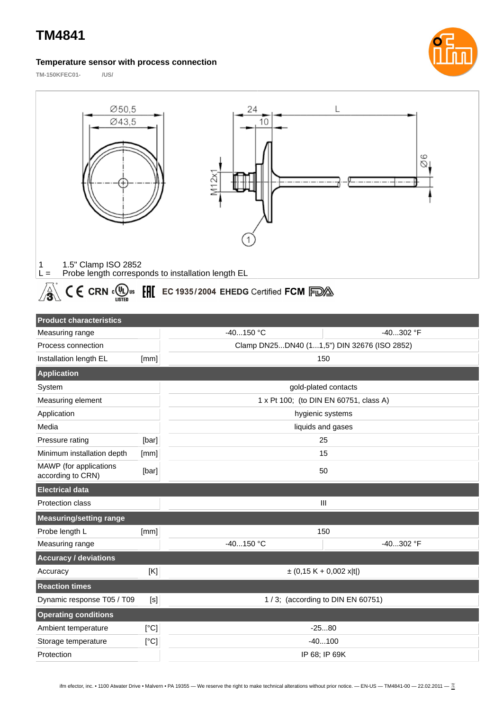## **TM4841**

#### **Temperature sensor with process connection**

**TM-150KFEC01- /US/**





# $\text{Im}\left\{\text{K}\right\}$   $\text{C}\left\{\text{C}\right\}$   $\text{C}\left\{\text{C}\right\}$   $\text{C}\left\{\text{C}\right\}$   $\text{C}\left\{\text{C}\right\}$   $\text{C}\left\{\text{C}\right\}$   $\text{C}\left\{\text{C}\right\}$   $\text{C}\left\{\text{C}\right\}$   $\text{C}\left\{\text{C}\right\}$   $\text{C}\left\{\text{C}\right\}$   $\text{C}\left\{\text{C}\right\}$   $\text{C}\left\{\text{C}\right\}$   $\text{C$

| <b>Product characteristics</b>              |       |                                             |           |  |
|---------------------------------------------|-------|---------------------------------------------|-----------|--|
| Measuring range                             |       | $-40150$ °C                                 | -40302 °F |  |
| Process connection                          |       | Clamp DN25DN40 (11,5") DIN 32676 (ISO 2852) |           |  |
| Installation length EL                      | [mm]  | 150                                         |           |  |
| <b>Application</b>                          |       |                                             |           |  |
| System                                      |       | gold-plated contacts                        |           |  |
| Measuring element                           |       | 1 x Pt 100; (to DIN EN 60751, class A)      |           |  |
| Application                                 |       | hygienic systems                            |           |  |
| Media                                       |       | liquids and gases                           |           |  |
| Pressure rating                             | [bar] | 25                                          |           |  |
| Minimum installation depth                  | [mm]  | 15                                          |           |  |
| MAWP (for applications<br>according to CRN) | [bar] | 50                                          |           |  |
| <b>Electrical data</b>                      |       |                                             |           |  |
| Protection class                            |       | III                                         |           |  |
| <b>Measuring/setting range</b>              |       |                                             |           |  |
| Probe length L                              | [mm]  | 150                                         |           |  |
| Measuring range                             |       | $-40150$ °C                                 | -40302 °F |  |
| <b>Accuracy / deviations</b>                |       |                                             |           |  |
| Accuracy                                    | [K]   | $\pm$ (0,15 K + 0,002 x t )                 |           |  |
| <b>Reaction times</b>                       |       |                                             |           |  |
| Dynamic response T05 / T09                  | [s]   | 1/3; (according to DIN EN 60751)            |           |  |
| <b>Operating conditions</b>                 |       |                                             |           |  |
| Ambient temperature                         | [°C]  | $-2580$                                     |           |  |
| Storage temperature                         | [°C]  | $-40100$                                    |           |  |
| Protection                                  |       | IP 68; IP 69K                               |           |  |